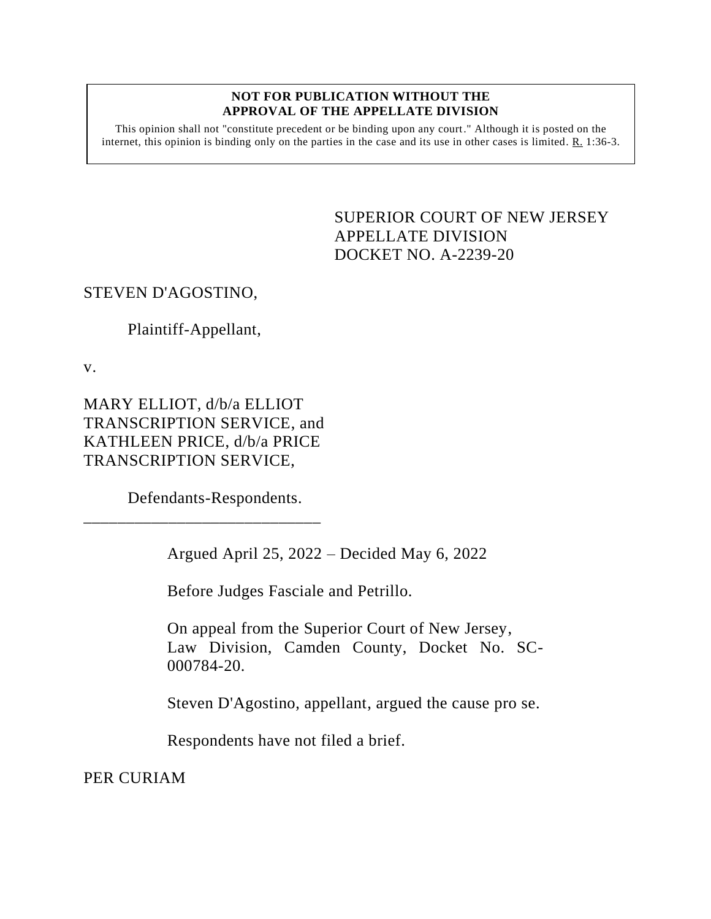#### **NOT FOR PUBLICATION WITHOUT THE APPROVAL OF THE APPELLATE DIVISION**

This opinion shall not "constitute precedent or be binding upon any court." Although it is posted on the internet, this opinion is binding only on the parties in the case and its use in other cases is limited. R. 1:36-3.

> <span id="page-0-0"></span>SUPERIOR COURT OF NEW JERSEY APPELLATE DIVISION DOCKET NO. A-2239-20

## STEVEN D'AGOSTINO,

# Plaintiff-Appellant,

v.

MARY ELLIOT, d/b/a ELLIOT TRANSCRIPTION SERVICE, and KATHLEEN PRICE, d/b/a PRICE TRANSCRIPTION SERVICE,

Defendants-Respondents.

\_\_\_\_\_\_\_\_\_\_\_\_\_\_\_\_\_\_\_\_\_\_\_\_\_\_\_\_

Argued April 25, 2022 – Decided May 6, 2022

Before Judges Fasciale and Petrillo.

On appeal from the Superior Court of New Jersey, Law Division, Camden County, Docket No. SC-000784-20.

Steven D'Agostino, appellant, argued the cause pro se.

Respondents have not filed a brief.

PER CURIAM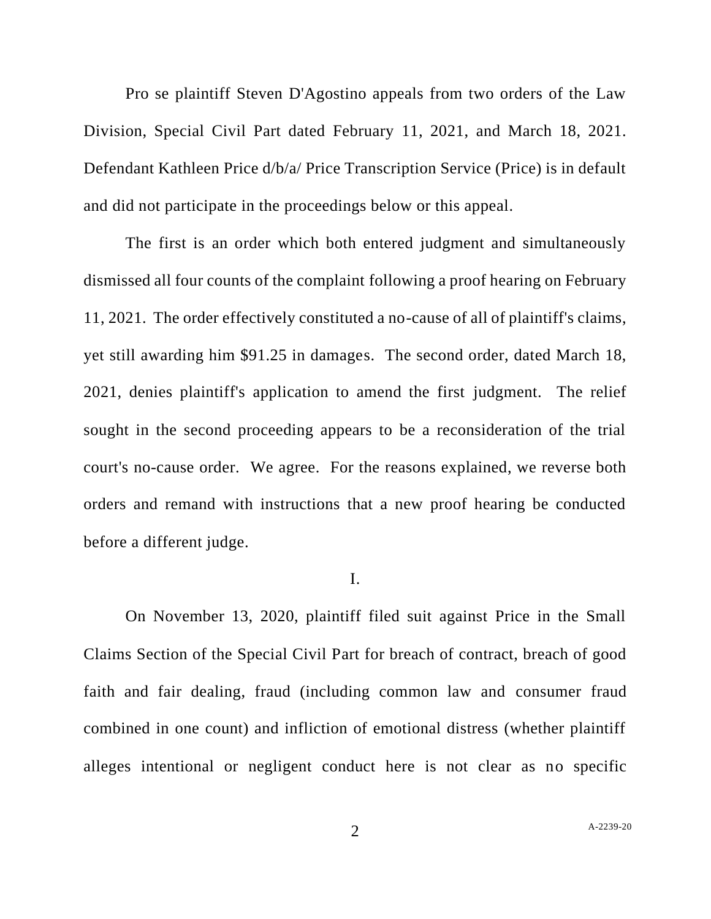Pro se plaintiff Steven D'Agostino appeals from two orders of the Law Division, Special Civil Part dated February 11, 2021, and March 18, 2021. Defendant Kathleen Price d/b/a/ Price Transcription Service (Price) is in default and did not participate in the proceedings below or this appeal.

The first is an order which both entered judgment and simultaneously dismissed all four counts of the complaint following a proof hearing on February 11, 2021. The order effectively constituted a no-cause of all of plaintiff's claims, yet still awarding him \$91.25 in damages. The second order, dated March 18, 2021, denies plaintiff's application to amend the first judgment. The relief sought in the second proceeding appears to be a reconsideration of the trial court's no-cause order. We agree. For the reasons explained, we reverse both orders and remand with instructions that a new proof hearing be conducted before a different judge.

### I.

On November 13, 2020, plaintiff filed suit against Price in the Small Claims Section of the Special Civil Part for breach of contract, breach of good faith and fair dealing, fraud (including common law and consumer fraud combined in one count) and infliction of emotional distress (whether plaintiff alleges intentional or negligent conduct here is not clear as no specific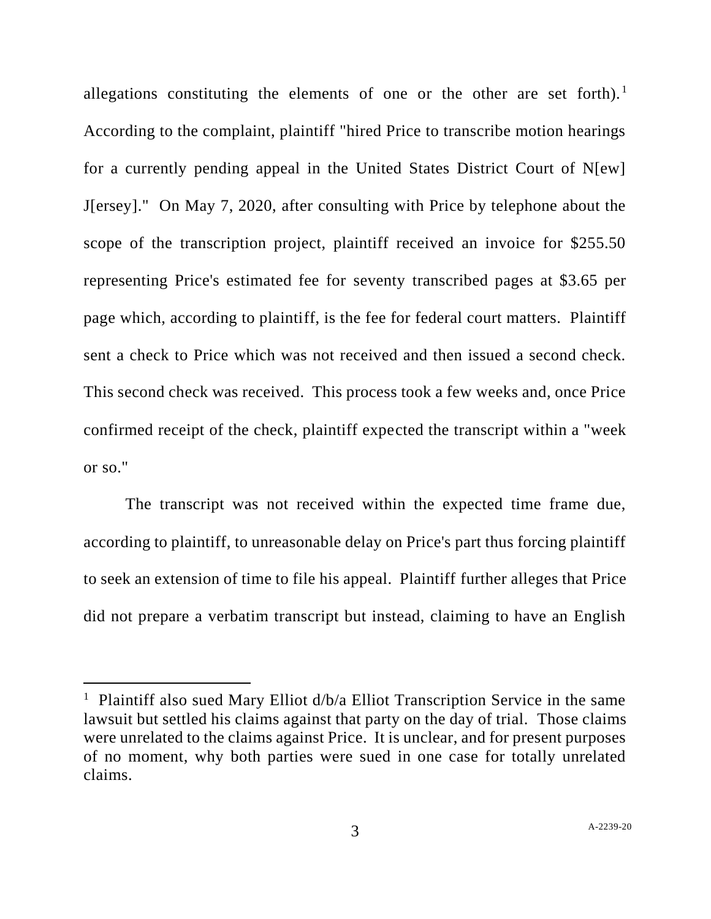allegations constituting the elements of one or the other are set forth).<sup>1</sup> According to the complaint, plaintiff "hired Price to transcribe motion hearings for a currently pending appeal in the United States District Court of N[ew] J[ersey]." On May 7, 2020, after consulting with Price by telephone about the scope of the transcription project, plaintiff received an invoice for \$255.50 representing Price's estimated fee for seventy transcribed pages at \$3.65 per page which, according to plaintiff, is the fee for federal court matters. Plaintiff sent a check to Price which was not received and then issued a second check. This second check was received. This process took a few weeks and, once Price confirmed receipt of the check, plaintiff expected the transcript within a "week or so."

The transcript was not received within the expected time frame due, according to plaintiff, to unreasonable delay on Price's part thus forcing plaintiff to seek an extension of time to file his appeal. Plaintiff further alleges that Price did not prepare a verbatim transcript but instead, claiming to have an English

<sup>&</sup>lt;sup>1</sup> Plaintiff also sued Mary Elliot d/b/a Elliot Transcription Service in the same lawsuit but settled his claims against that party on the day of trial. Those claims were unrelated to the claims against Price. It is unclear, and for present purposes of no moment, why both parties were sued in one case for totally unrelated claims.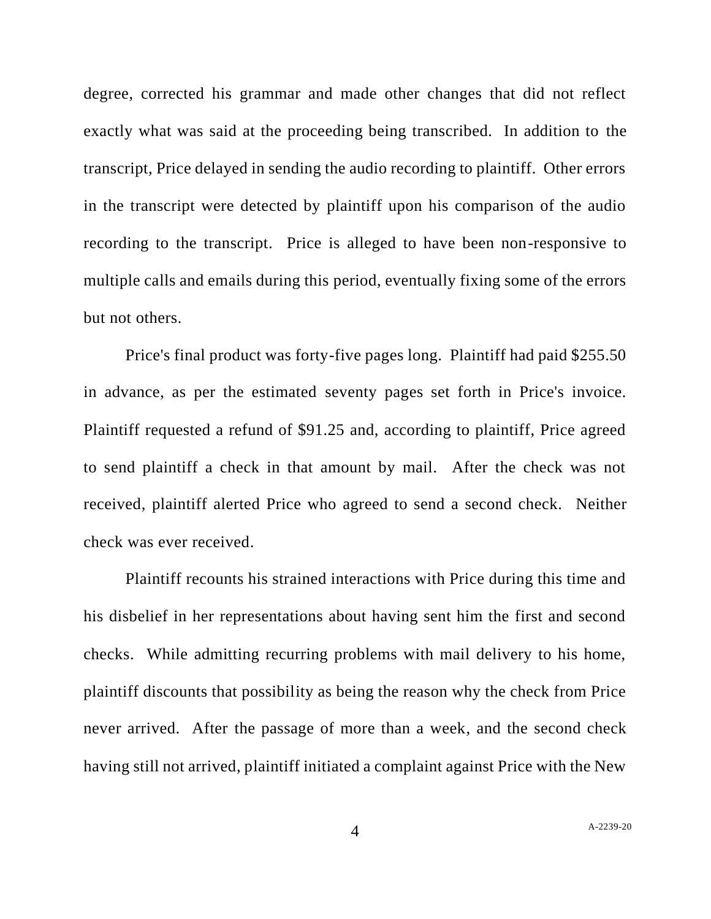degree, corrected his grammar and made other changes that did not reflect exactly what was said at the proceeding being transcribed. In addition to the transcript, Price delayed in sending the audio recording to plaintiff. Other errors in the transcript were detected by plaintiff upon his comparison of the audio recording to the transcript. Price is alleged to have been non-responsive to multiple calls and emails during this period, eventually fixing some of the errors but not others.

Price's final product was forty-five pages long. Plaintiff had paid \$255.50 in advance, as per the estimated seventy pages set forth in Price's invoice. Plaintiff requested a refund of \$91.25 and, according to plaintiff, Price agreed to send plaintiff a check in that amount by mail. After the check was not received, plaintiff alerted Price who agreed to send a second check. Neither check was ever received.

Plaintiff recounts his strained interactions with Price during this time and his disbelief in her representations about having sent him the first and second checks. While admitting recurring problems with mail delivery to his home, plaintiff discounts that possibility as being the reason why the check from Price never arrived. After the passage of more than a week, and the second check having still not arrived, plaintiff initiated a complaint against Price with the New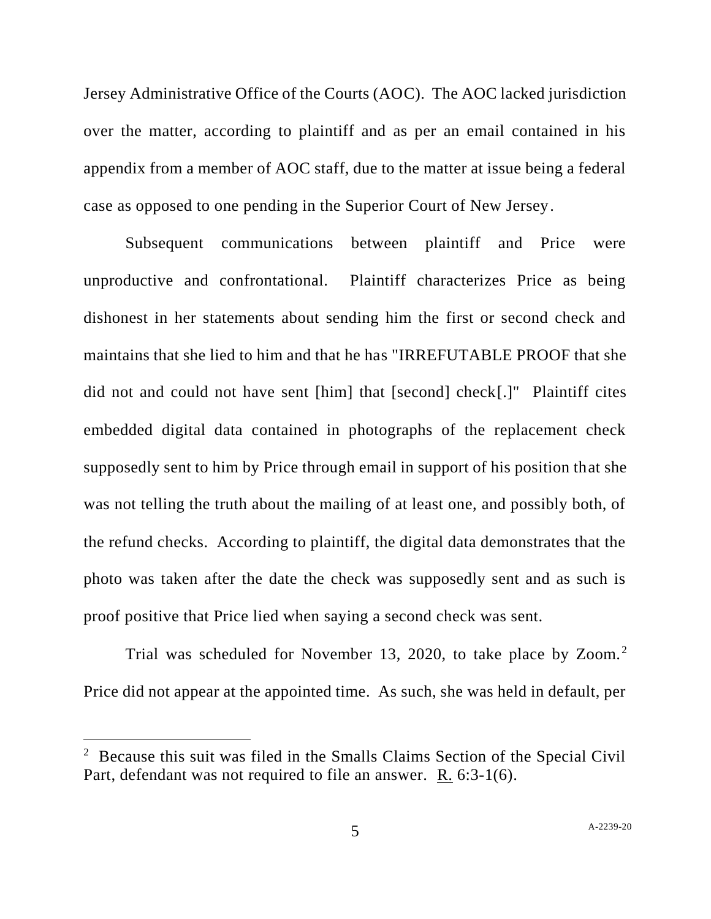Jersey Administrative Office of the Courts (AOC). The AOC lacked jurisdiction over the matter, according to plaintiff and as per an email contained in his appendix from a member of AOC staff, due to the matter at issue being a federal case as opposed to one pending in the Superior Court of New Jersey.

Subsequent communications between plaintiff and Price were unproductive and confrontational. Plaintiff characterizes Price as being dishonest in her statements about sending him the first or second check and maintains that she lied to him and that he has "IRREFUTABLE PROOF that she did not and could not have sent [him] that [second] check[.]" Plaintiff cites embedded digital data contained in photographs of the replacement check supposedly sent to him by Price through email in support of his position that she was not telling the truth about the mailing of at least one, and possibly both, of the refund checks. According to plaintiff, the digital data demonstrates that the photo was taken after the date the check was supposedly sent and as such is proof positive that Price lied when saying a second check was sent.

Trial was scheduled for November 13, 2020, to take place by Zoom.<sup>2</sup> Price did not appear at the appointed time. As such, she was held in default, per

<sup>&</sup>lt;sup>2</sup> Because this suit was filed in the Smalls Claims Section of the Special Civil Part, defendant was not required to file an answer.  $\underline{R}$ . 6:3-1(6).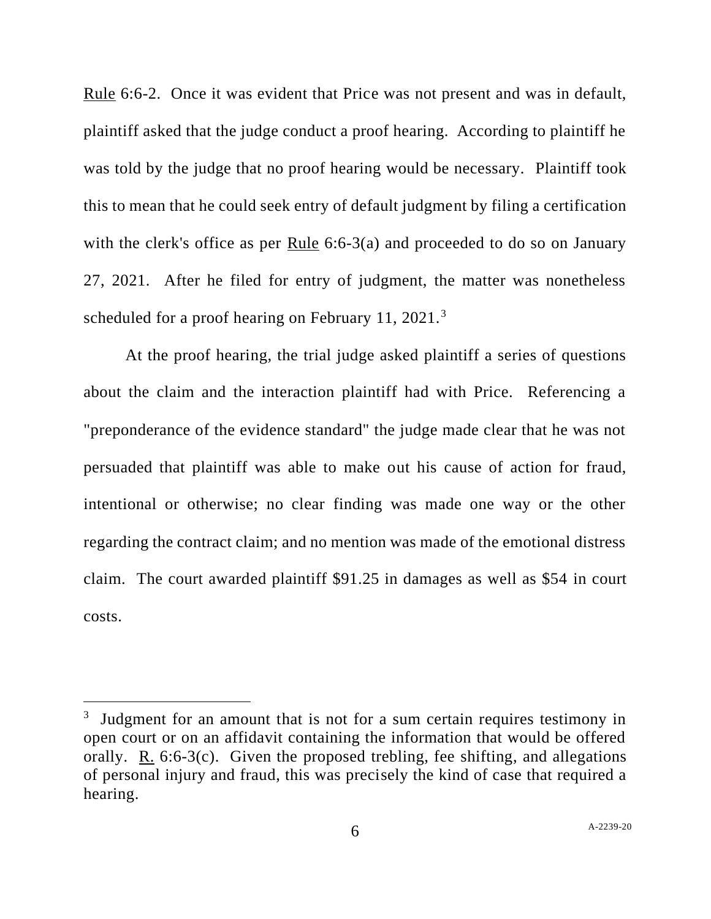Rule 6:6-2. Once it was evident that Price was not present and was in default, plaintiff asked that the judge conduct a proof hearing. According to plaintiff he was told by the judge that no proof hearing would be necessary. Plaintiff took this to mean that he could seek entry of default judgment by filing a certification with the clerk's office as per Rule 6:6-3(a) and proceeded to do so on January 27, 2021. After he filed for entry of judgment, the matter was nonetheless scheduled for a proof hearing on February 11, 2021.<sup>3</sup>

At the proof hearing, the trial judge asked plaintiff a series of questions about the claim and the interaction plaintiff had with Price. Referencing a "preponderance of the evidence standard" the judge made clear that he was not persuaded that plaintiff was able to make out his cause of action for fraud, intentional or otherwise; no clear finding was made one way or the other regarding the contract claim; and no mention was made of the emotional distress claim. The court awarded plaintiff \$91.25 in damages as well as \$54 in court costs.

<sup>&</sup>lt;sup>3</sup> Judgment for an amount that is not for a sum certain requires testimony in open court or on an affidavit containing the information that would be offered orally. R. 6:6-3(c). Given the proposed trebling, fee shifting, and allegations of personal injury and fraud, this was precisely the kind of case that required a hearing.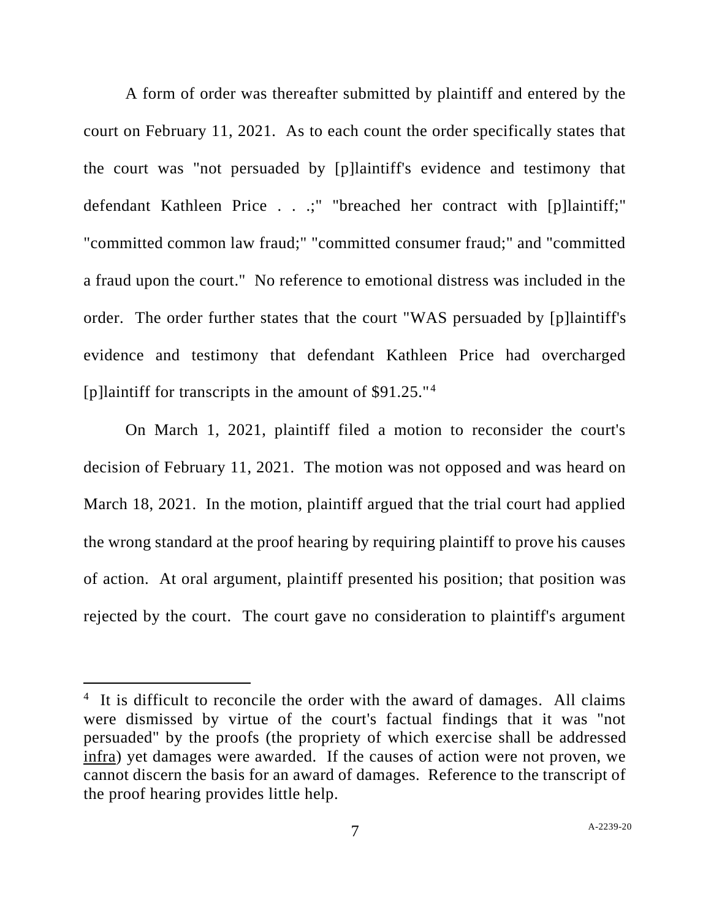A form of order was thereafter submitted by plaintiff and entered by the court on February 11, 2021. As to each count the order specifically states that the court was "not persuaded by [p]laintiff's evidence and testimony that defendant Kathleen Price . . .;" "breached her contract with [p]laintiff;" "committed common law fraud;" "committed consumer fraud;" and "committed a fraud upon the court." No reference to emotional distress was included in the order. The order further states that the court "WAS persuaded by [p]laintiff's evidence and testimony that defendant Kathleen Price had overcharged [p]laintiff for transcripts in the amount of \$91.25."<sup>4</sup>

On March 1, 2021, plaintiff filed a motion to reconsider the court's decision of February 11, 2021. The motion was not opposed and was heard on March 18, 2021. In the motion, plaintiff argued that the trial court had applied the wrong standard at the proof hearing by requiring plaintiff to prove his causes of action. At oral argument, plaintiff presented his position; that position was rejected by the court. The court gave no consideration to plaintiff's argument

<sup>&</sup>lt;sup>4</sup> It is difficult to reconcile the order with the award of damages. All claims were dismissed by virtue of the court's factual findings that it was "not persuaded" by the proofs (the propriety of which exercise shall be addressed infra) yet damages were awarded. If the causes of action were not proven, we cannot discern the basis for an award of damages. Reference to the transcript of the proof hearing provides little help.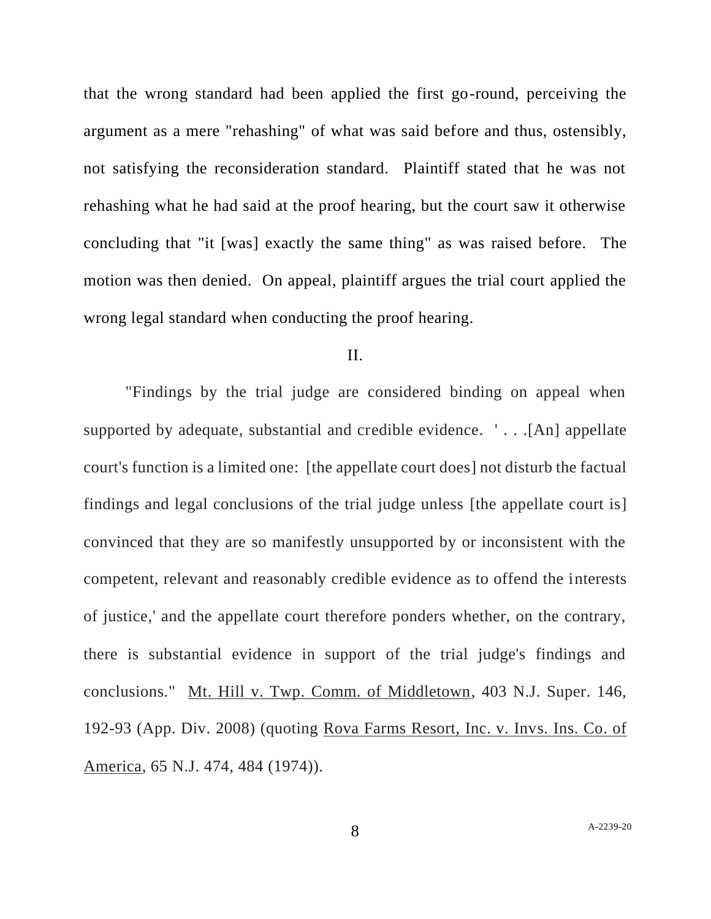that the wrong standard had been applied the first go-round, perceiving the argument as a mere "rehashing" of what was said before and thus, ostensibly, not satisfying the reconsideration standard. Plaintiff stated that he was not rehashing what he had said at the proof hearing, but the court saw it otherwise concluding that "it [was] exactly the same thing" as was raised before. The motion was then denied. On appeal, plaintiff argues the trial court applied the wrong legal standard when conducting the proof hearing.

### II.

"Findings by the trial judge are considered binding on appeal when supported by adequate, substantial and credible evidence. ' . . .[An] appellate court's function is a limited one: [the appellate court does] not disturb the factual findings and legal conclusions of the trial judge unless [the appellate court is] convinced that they are so manifestly unsupported by or inconsistent with the competent, relevant and reasonably credible evidence as to offend the interests of justice,' and the appellate court therefore ponders whether, on the contrary, there is substantial evidence in support of the trial judge's findings and conclusions." Mt. Hill v. Twp. Comm. of Middletown, 403 N.J. Super. 146, 192-93 (App. Div. 2008) (quoting Rova Farms Resort, Inc. v. Invs. Ins. Co. of America, 65 N.J. 474, 484 (1974)).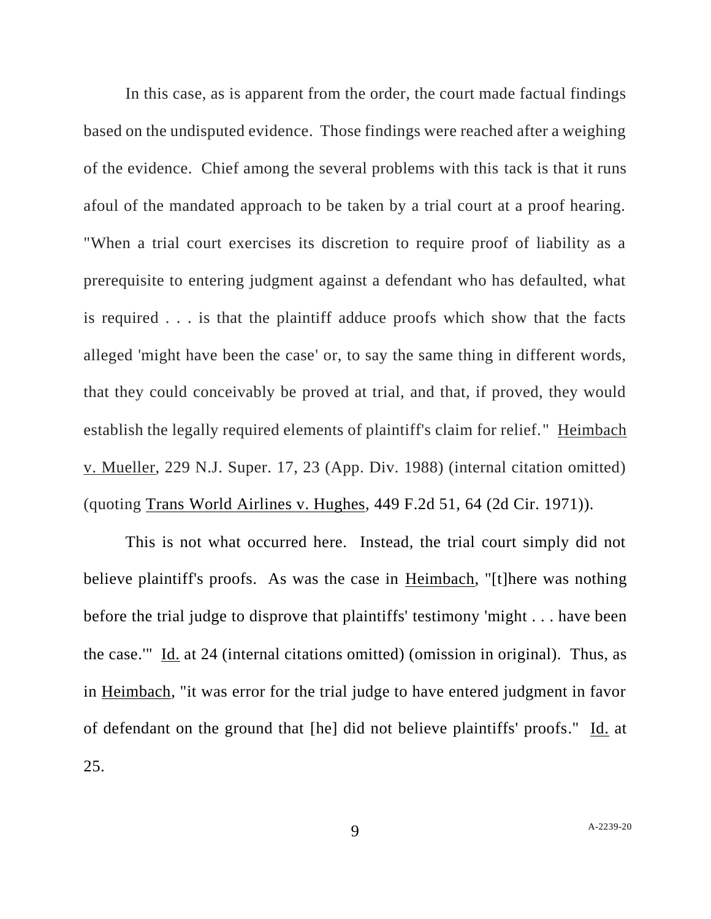In this case, as is apparent from the order, the court made factual findings based on the undisputed evidence. Those findings were reached after a weighing of the evidence. Chief among the several problems with this tack is that it runs afoul of the mandated approach to be taken by a trial court at a proof hearing. "When a trial court exercises its discretion to require proof of liability as a prerequisite to entering judgment against a defendant who has defaulted, what is required . . . is that the plaintiff adduce proofs which show that the facts alleged 'might have been the case' or, to say the same thing in different words, that they could conceivably be proved at trial, and that, if proved, they would establish the legally required elements of plaintiff's claim for relief." Heimbach v. Mueller, 229 N.J. Super. 17, 23 (App. Div. 1988) (internal citation omitted) (quoting Trans World Airlines v. Hughes, 449 F.2d 51, 64 (2d Cir. 1971)).

This is not what occurred here. Instead, the trial court simply did not believe plaintiff's proofs. As was the case in <u>Heimbach</u>, "[t]here was nothing before the trial judge to disprove that plaintiffs' testimony 'might . . . have been the case.'" Id. at 24 (internal citations omitted) (omission in original). Thus, as in Heimbach, "it was error for the trial judge to have entered judgment in favor of defendant on the ground that [he] did not believe plaintiffs' proofs." Id. at 25.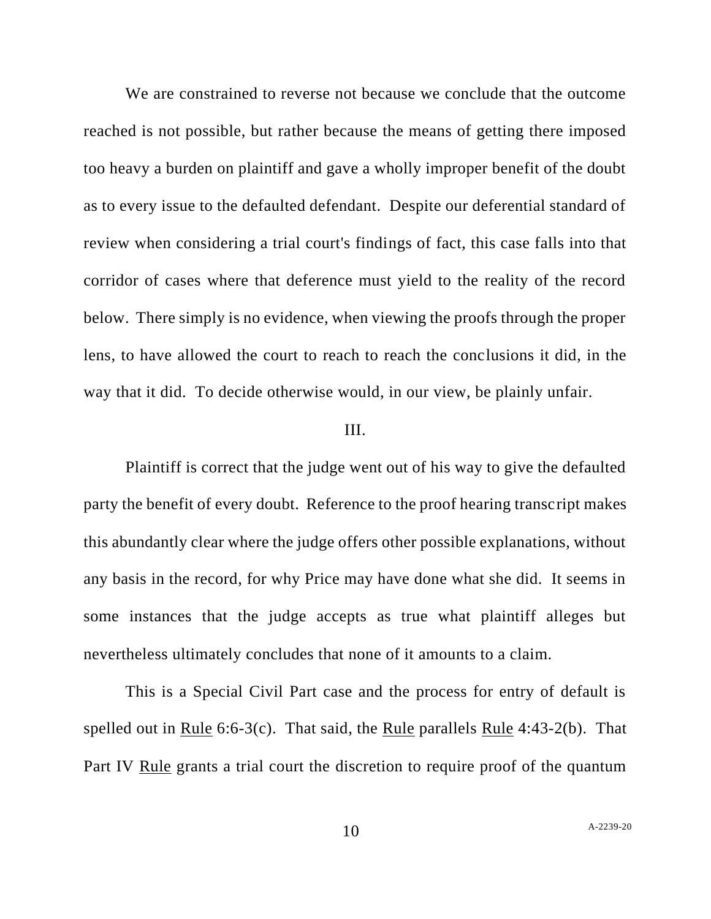We are constrained to reverse not because we conclude that the outcome reached is not possible, but rather because the means of getting there imposed too heavy a burden on plaintiff and gave a wholly improper benefit of the doubt as to every issue to the defaulted defendant. Despite our deferential standard of review when considering a trial court's findings of fact, this case falls into that corridor of cases where that deference must yield to the reality of the record below. There simply is no evidence, when viewing the proofs through the proper lens, to have allowed the court to reach to reach the conclusions it did, in the way that it did. To decide otherwise would, in our view, be plainly unfair.

#### III.

Plaintiff is correct that the judge went out of his way to give the defaulted party the benefit of every doubt. Reference to the proof hearing transcript makes this abundantly clear where the judge offers other possible explanations, without any basis in the record, for why Price may have done what she did. It seems in some instances that the judge accepts as true what plaintiff alleges but nevertheless ultimately concludes that none of it amounts to a claim.

This is a Special Civil Part case and the process for entry of default is spelled out in Rule 6:6-3(c). That said, the Rule parallels Rule 4:43-2(b). That Part IV Rule grants a trial court the discretion to require proof of the quantum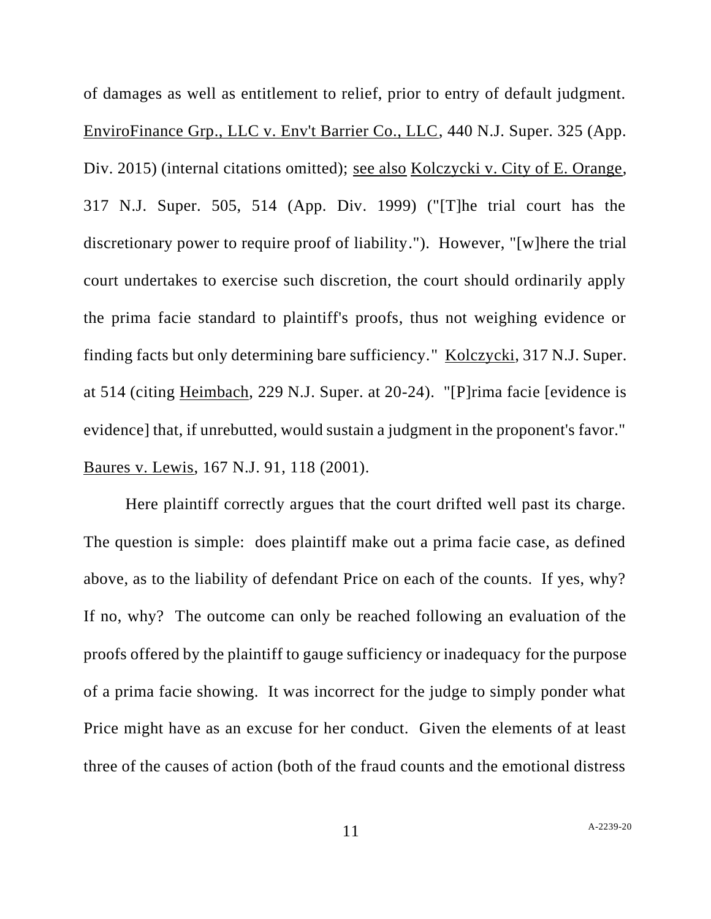of damages as well as entitlement to relief, prior to entry of default judgment. EnviroFinance Grp., LLC v. Env't Barrier Co., LLC, 440 N.J. Super. 325 (App. Div. 2015) (internal citations omitted); see also Kolczycki v. City of E. Orange, 317 N.J. Super. 505, 514 (App. Div. 1999) ("[T]he trial court has the discretionary power to require proof of liability."). However, "[w]here the trial court undertakes to exercise such discretion, the court should ordinarily apply the prima facie standard to plaintiff's proofs, thus not weighing evidence or finding facts but only determining bare sufficiency." Kolczycki, 317 N.J. Super. at 514 (citing Heimbach, 229 N.J. Super. at 20-24). "[P]rima facie [evidence is evidence] that, if unrebutted, would sustain a judgment in the proponent's favor." Baures v. Lewis, 167 N.J. 91, 118 (2001).

Here plaintiff correctly argues that the court drifted well past its charge. The question is simple: does plaintiff make out a prima facie case, as defined above, as to the liability of defendant Price on each of the counts. If yes, why? If no, why? The outcome can only be reached following an evaluation of the proofs offered by the plaintiff to gauge sufficiency or inadequacy for the purpose of a prima facie showing. It was incorrect for the judge to simply ponder what Price might have as an excuse for her conduct. Given the elements of at least three of the causes of action (both of the fraud counts and the emotional distress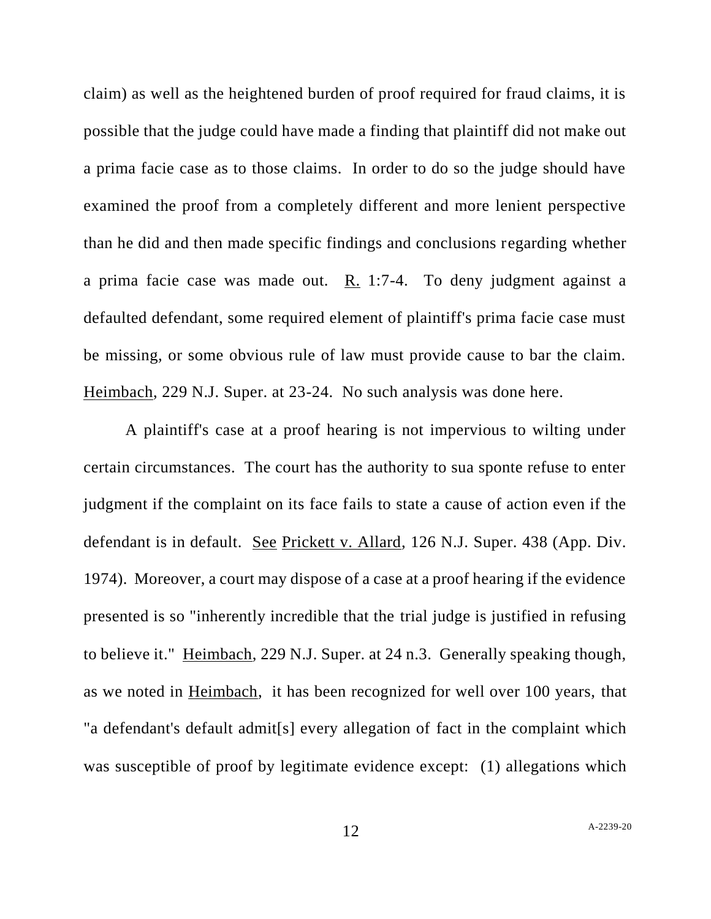claim) as well as the heightened burden of proof required for fraud claims, it is possible that the judge could have made a finding that plaintiff did not make out a prima facie case as to those claims. In order to do so the judge should have examined the proof from a completely different and more lenient perspective than he did and then made specific findings and conclusions regarding whether a prima facie case was made out. R. 1:7-4. To deny judgment against a defaulted defendant, some required element of plaintiff's prima facie case must be missing, or some obvious rule of law must provide cause to bar the claim. Heimbach, 229 N.J. Super. at 23-24. No such analysis was done here.

A plaintiff's case at a proof hearing is not impervious to wilting under certain circumstances. The court has the authority to sua sponte refuse to enter judgment if the complaint on its face fails to state a cause of action even if the defendant is in default. See Prickett v. Allard, 126 N.J. Super. 438 (App. Div. 1974). Moreover, a court may dispose of a case at a proof hearing if the evidence presented is so "inherently incredible that the trial judge is justified in refusing to believe it." Heimbach, 229 N.J. Super. at 24 n.3. Generally speaking though, as we noted in Heimbach, it has been recognized for well over 100 years, that "a defendant's default admit[s] every allegation of fact in the complaint which was susceptible of proof by legitimate evidence except: (1) allegations which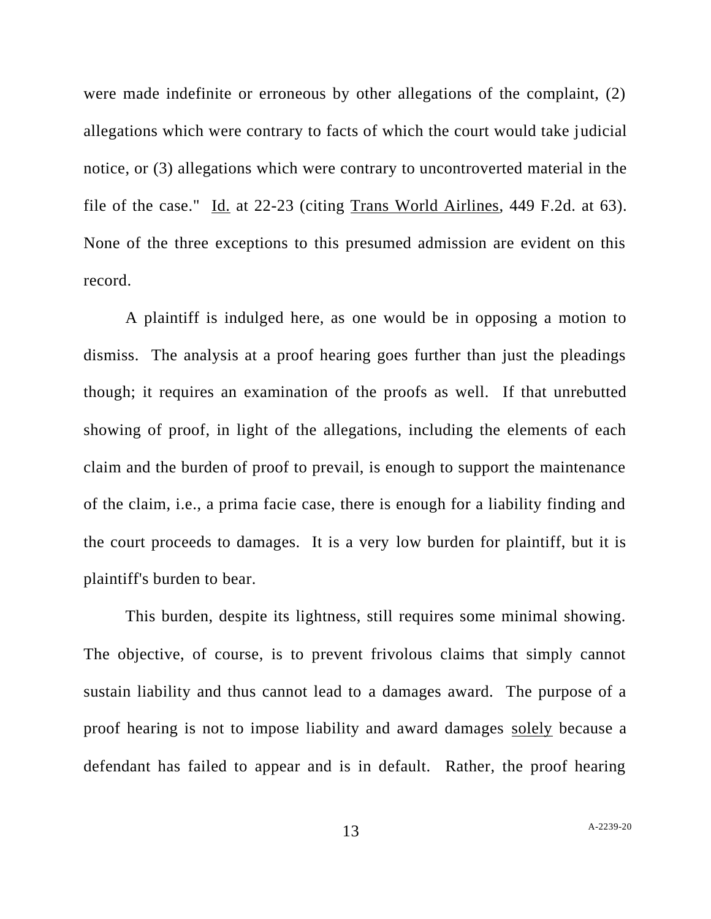were made indefinite or erroneous by other allegations of the complaint, (2) allegations which were contrary to facts of which the court would take judicial notice, or (3) allegations which were contrary to uncontroverted material in the file of the case." Id. at 22-23 (citing Trans World Airlines, 449 F.2d. at 63). None of the three exceptions to this presumed admission are evident on this record.

A plaintiff is indulged here, as one would be in opposing a motion to dismiss. The analysis at a proof hearing goes further than just the pleadings though; it requires an examination of the proofs as well. If that unrebutted showing of proof, in light of the allegations, including the elements of each claim and the burden of proof to prevail, is enough to support the maintenance of the claim, i.e., a prima facie case, there is enough for a liability finding and the court proceeds to damages. It is a very low burden for plaintiff, but it is plaintiff's burden to bear.

This burden, despite its lightness, still requires some minimal showing. The objective, of course, is to prevent frivolous claims that simply cannot sustain liability and thus cannot lead to a damages award. The purpose of a proof hearing is not to impose liability and award damages solely because a defendant has failed to appear and is in default. Rather, the proof hearing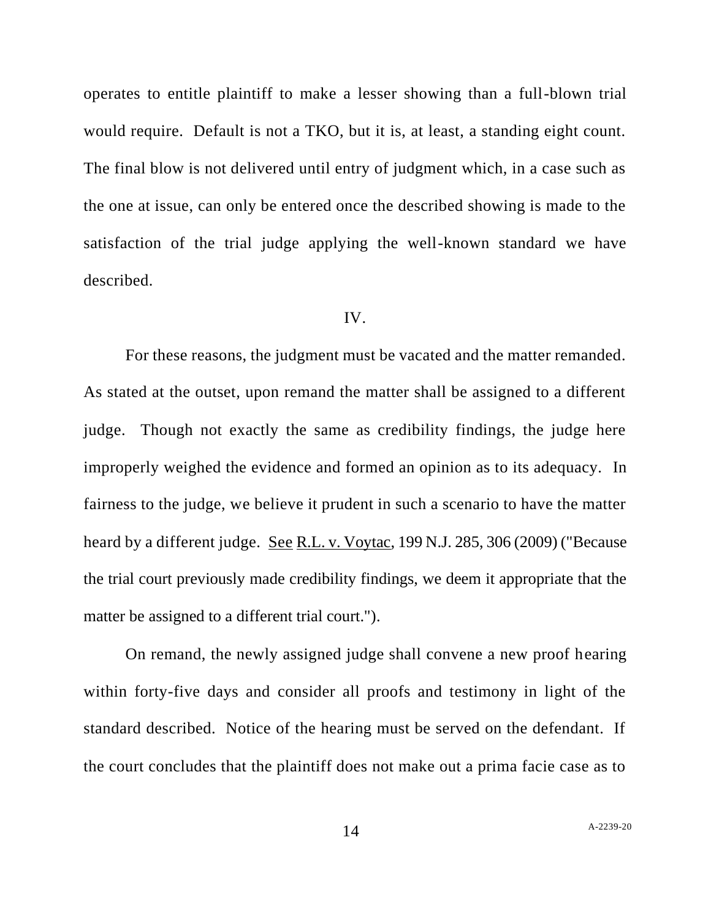operates to entitle plaintiff to make a lesser showing than a full-blown trial would require. Default is not a TKO, but it is, at least, a standing eight count. The final blow is not delivered until entry of judgment which, in a case such as the one at issue, can only be entered once the described showing is made to the satisfaction of the trial judge applying the well-known standard we have described.

#### IV.

For these reasons, the judgment must be vacated and the matter remanded. As stated at the outset, upon remand the matter shall be assigned to a different judge. Though not exactly the same as credibility findings, the judge here improperly weighed the evidence and formed an opinion as to its adequacy. In fairness to the judge, we believe it prudent in such a scenario to have the matter heard by a different judge. See R.L. v. Voytac, 199 N.J. 285, 306 (2009) ("Because the trial court previously made credibility findings, we deem it appropriate that the matter be assigned to a different trial court.").

On remand, the newly assigned judge shall convene a new proof hearing within forty-five days and consider all proofs and testimony in light of the standard described. Notice of the hearing must be served on the defendant. If the court concludes that the plaintiff does not make out a prima facie case as to